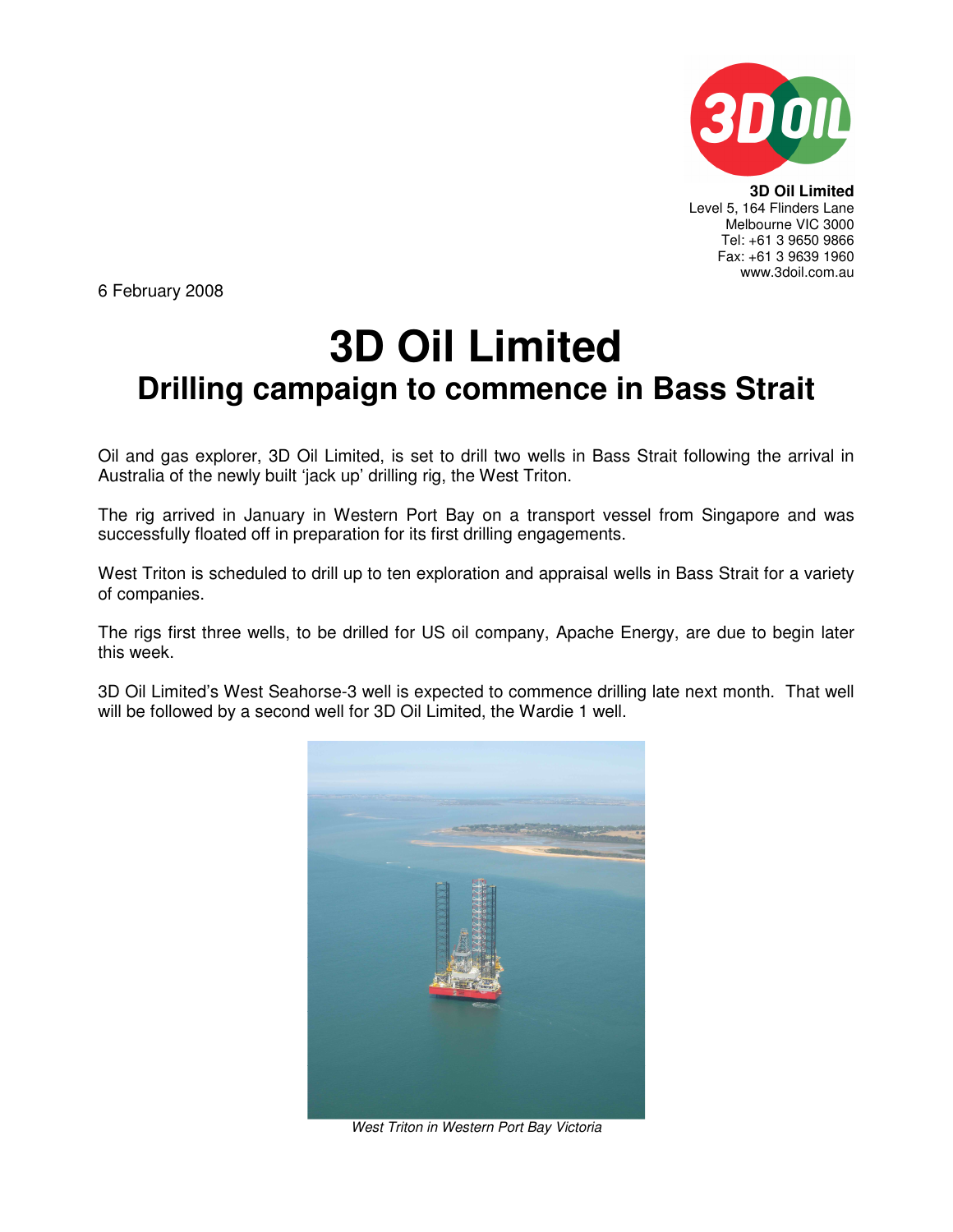

**3D Oil Limited**  Level 5, 164 Flinders Lane Melbourne VIC 3000 Tel: +61 3 9650 9866 Fax: +61 3 9639 1960 www.3doil.com.au

6 February 2008

## **3D Oil Limited Drilling campaign to commence in Bass Strait**

Oil and gas explorer, 3D Oil Limited, is set to drill two wells in Bass Strait following the arrival in Australia of the newly built 'jack up' drilling rig, the West Triton.

The rig arrived in January in Western Port Bay on a transport vessel from Singapore and was successfully floated off in preparation for its first drilling engagements.

West Triton is scheduled to drill up to ten exploration and appraisal wells in Bass Strait for a variety of companies.

The rigs first three wells, to be drilled for US oil company, Apache Energy, are due to begin later this week.

3D Oil Limited's West Seahorse-3 well is expected to commence drilling late next month. That well will be followed by a second well for 3D Oil Limited, the Wardie 1 well.



West Triton in Western Port Bay Victoria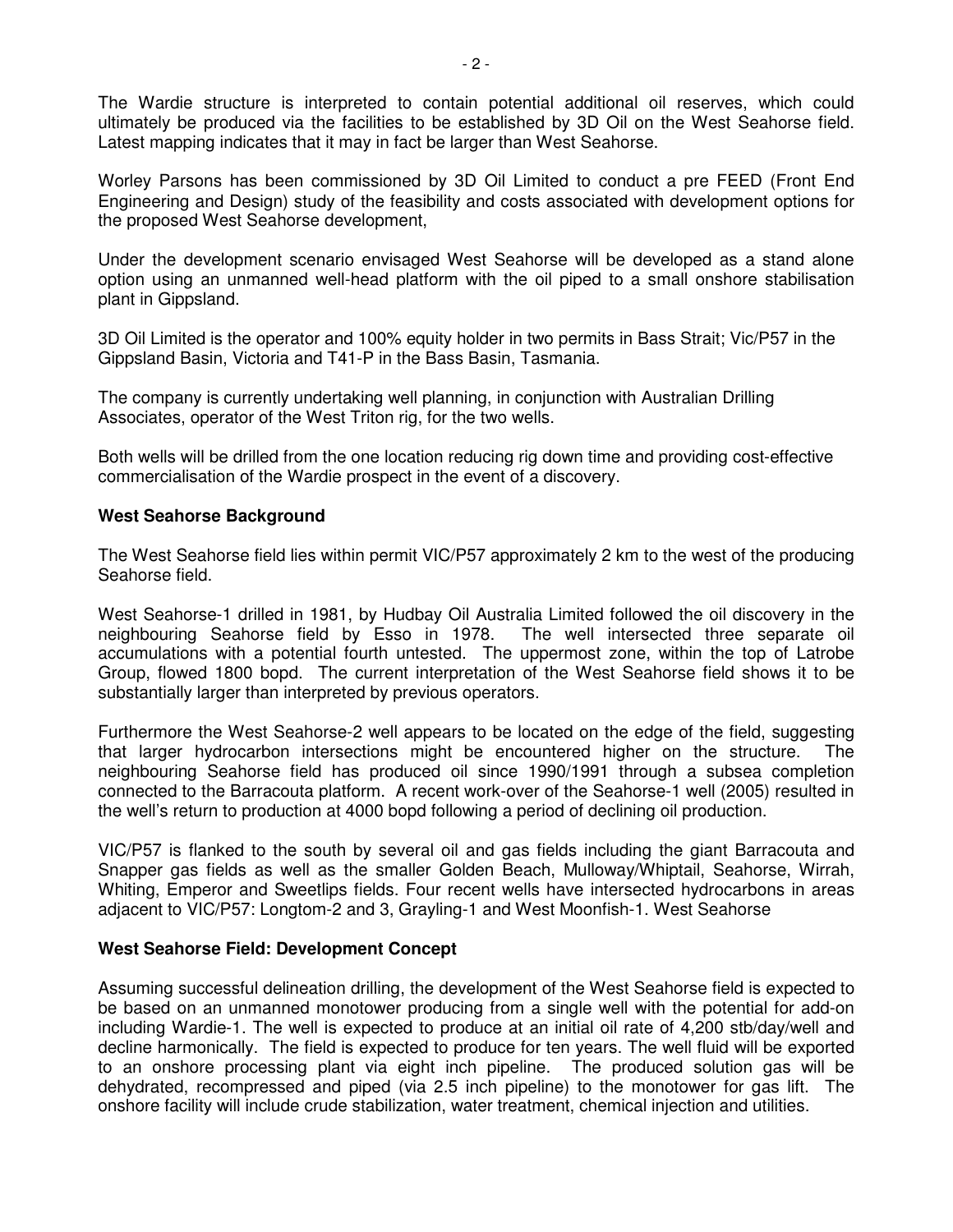The Wardie structure is interpreted to contain potential additional oil reserves, which could ultimately be produced via the facilities to be established by 3D Oil on the West Seahorse field. Latest mapping indicates that it may in fact be larger than West Seahorse.

Worley Parsons has been commissioned by 3D Oil Limited to conduct a pre FEED (Front End Engineering and Design) study of the feasibility and costs associated with development options for the proposed West Seahorse development,

Under the development scenario envisaged West Seahorse will be developed as a stand alone option using an unmanned well-head platform with the oil piped to a small onshore stabilisation plant in Gippsland.

3D Oil Limited is the operator and 100% equity holder in two permits in Bass Strait; Vic/P57 in the Gippsland Basin, Victoria and T41-P in the Bass Basin, Tasmania.

The company is currently undertaking well planning, in conjunction with Australian Drilling Associates, operator of the West Triton rig, for the two wells.

Both wells will be drilled from the one location reducing rig down time and providing cost-effective commercialisation of the Wardie prospect in the event of a discovery.

## **West Seahorse Background**

The West Seahorse field lies within permit VIC/P57 approximately 2 km to the west of the producing Seahorse field.

West Seahorse-1 drilled in 1981, by Hudbay Oil Australia Limited followed the oil discovery in the neighbouring Seahorse field by Esso in 1978. The well intersected three separate oil accumulations with a potential fourth untested. The uppermost zone, within the top of Latrobe Group, flowed 1800 bopd. The current interpretation of the West Seahorse field shows it to be substantially larger than interpreted by previous operators.

Furthermore the West Seahorse-2 well appears to be located on the edge of the field, suggesting that larger hydrocarbon intersections might be encountered higher on the structure. The neighbouring Seahorse field has produced oil since 1990/1991 through a subsea completion connected to the Barracouta platform. A recent work-over of the Seahorse-1 well (2005) resulted in the well's return to production at 4000 bopd following a period of declining oil production.

VIC/P57 is flanked to the south by several oil and gas fields including the giant Barracouta and Snapper gas fields as well as the smaller Golden Beach, Mulloway/Whiptail, Seahorse, Wirrah, Whiting, Emperor and Sweetlips fields. Four recent wells have intersected hydrocarbons in areas adjacent to VIC/P57: Longtom-2 and 3, Grayling-1 and West Moonfish-1. West Seahorse

## **West Seahorse Field: Development Concept**

Assuming successful delineation drilling, the development of the West Seahorse field is expected to be based on an unmanned monotower producing from a single well with the potential for add-on including Wardie-1. The well is expected to produce at an initial oil rate of 4,200 stb/day/well and decline harmonically. The field is expected to produce for ten years. The well fluid will be exported to an onshore processing plant via eight inch pipeline. The produced solution gas will be dehydrated, recompressed and piped (via 2.5 inch pipeline) to the monotower for gas lift. The onshore facility will include crude stabilization, water treatment, chemical injection and utilities.